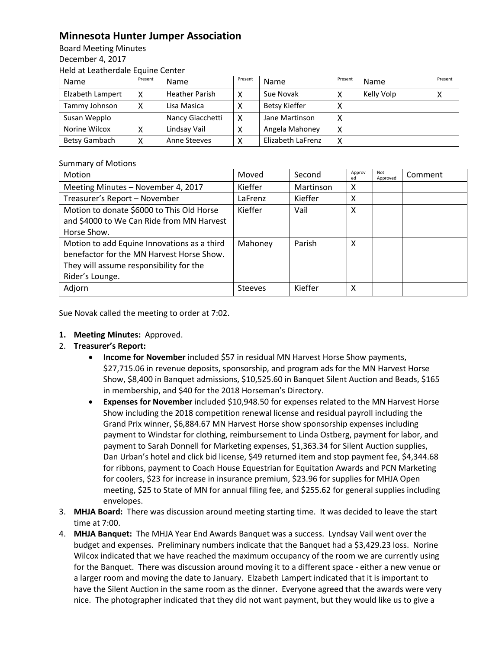## **Minnesota Hunter Jumper Association**

Board Meeting Minutes December 4, 2017 Held at Leatherdale Equine Center

| Name             | Present | <b>Name</b>           | Present | Name                 | Present    | Name       | Present |
|------------------|---------|-----------------------|---------|----------------------|------------|------------|---------|
| Elzabeth Lampert |         | <b>Heather Parish</b> | x       | Sue Novak            |            | Kelly Volp |         |
| Tammy Johnson    | х       | Lisa Masica           | v       | <b>Betsy Kieffer</b> | $\sqrt{ }$ |            |         |
| Susan Wepplo     |         | Nancy Giacchetti      | x       | Jane Martinson       | Χ          |            |         |
| Norine Wilcox    |         | Lindsay Vail          |         | Angela Mahoney       | Х          |            |         |
| Betsy Gambach    | ⋏       | Anne Steeves          | χ       | Elizabeth LaFrenz    | Χ          |            |         |

## Summary of Motions

| <b>Motion</b>                                                                                                                                          | Moved          | Second    | Approv<br>ed | Not<br>Approved | Comment |
|--------------------------------------------------------------------------------------------------------------------------------------------------------|----------------|-----------|--------------|-----------------|---------|
| Meeting Minutes - November 4, 2017                                                                                                                     | Kieffer        | Martinson | X            |                 |         |
| Treasurer's Report - November                                                                                                                          | LaFrenz        | Kieffer   | X            |                 |         |
| Motion to donate \$6000 to This Old Horse<br>and \$4000 to We Can Ride from MN Harvest<br>Horse Show.                                                  | Kieffer        | Vail      | x            |                 |         |
| Motion to add Equine Innovations as a third<br>benefactor for the MN Harvest Horse Show.<br>They will assume responsibility for the<br>Rider's Lounge. | Mahoney        | Parish    | x            |                 |         |
| Adjorn                                                                                                                                                 | <b>Steeves</b> | Kieffer   | x            |                 |         |

Sue Novak called the meeting to order at 7:02.

- **1. Meeting Minutes:** Approved.
- 2. **Treasurer's Report:** 
	- **Income for November** included \$57 in residual MN Harvest Horse Show payments, \$27,715.06 in revenue deposits, sponsorship, and program ads for the MN Harvest Horse Show, \$8,400 in Banquet admissions, \$10,525.60 in Banquet Silent Auction and Beads, \$165 in membership, and \$40 for the 2018 Horseman's Directory.
	- **Expenses for November** included \$10,948.50 for expenses related to the MN Harvest Horse Show including the 2018 competition renewal license and residual payroll including the Grand Prix winner, \$6,884.67 MN Harvest Horse show sponsorship expenses including payment to Windstar for clothing, reimbursement to Linda Ostberg, payment for labor, and payment to Sarah Donnell for Marketing expenses, \$1,363.34 for Silent Auction supplies, Dan Urban's hotel and click bid license, \$49 returned item and stop payment fee, \$4,344.68 for ribbons, payment to Coach House Equestrian for Equitation Awards and PCN Marketing for coolers, \$23 for increase in insurance premium, \$23.96 for supplies for MHJA Open meeting, \$25 to State of MN for annual filing fee, and \$255.62 for general supplies including envelopes.
- 3. **MHJA Board:** There was discussion around meeting starting time. It was decided to leave the start time at 7:00.
- 4. **MHJA Banquet:** The MHJA Year End Awards Banquet was a success. Lyndsay Vail went over the budget and expenses. Preliminary numbers indicate that the Banquet had a \$3,429.23 loss. Norine Wilcox indicated that we have reached the maximum occupancy of the room we are currently using for the Banquet. There was discussion around moving it to a different space - either a new venue or a larger room and moving the date to January. Elzabeth Lampert indicated that it is important to have the Silent Auction in the same room as the dinner. Everyone agreed that the awards were very nice. The photographer indicated that they did not want payment, but they would like us to give a